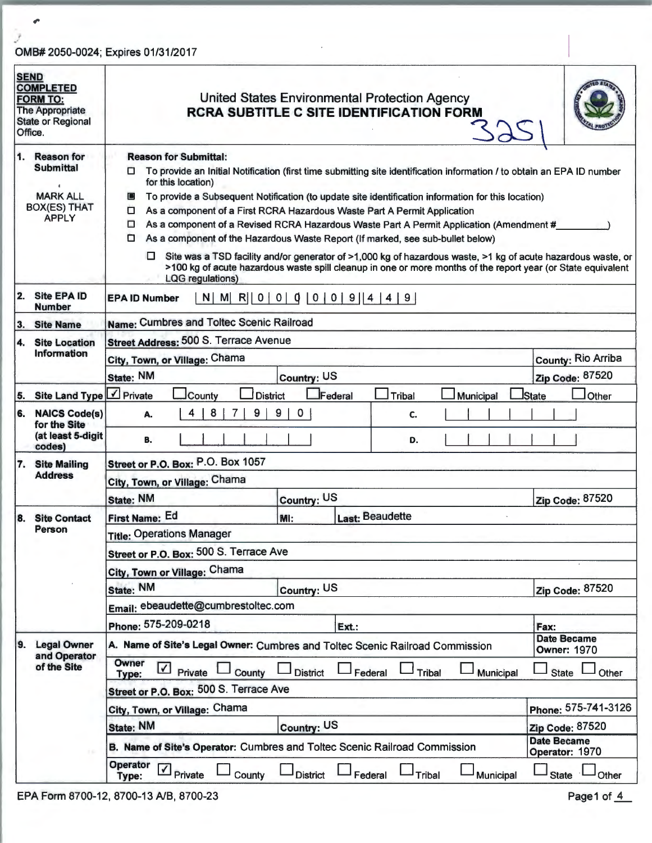## i *v'*  OMB# 2050-0024; Expires 01/31/2017

 $\boldsymbol{\sigma}$ 

| <b>SEND</b><br><b>COMPLETED</b><br><b>FORM TO:</b><br><b>The Appropriate</b><br><b>State or Regional</b><br>Office. | <b>United States Environmental Protection Agency</b><br><b>RCRA SUBTITLE C SITE IDENTIFICATION FORM</b>                                                     |                                                                                                                                                                                                                                                                                                                                                             |                        |  |  |  |
|---------------------------------------------------------------------------------------------------------------------|-------------------------------------------------------------------------------------------------------------------------------------------------------------|-------------------------------------------------------------------------------------------------------------------------------------------------------------------------------------------------------------------------------------------------------------------------------------------------------------------------------------------------------------|------------------------|--|--|--|
| 1. Reason for<br><b>Submittal</b>                                                                                   | <b>Reason for Submittal:</b><br>To provide an Initial Notification (first time submitting site identification information / to obtain an EPA ID number<br>0 |                                                                                                                                                                                                                                                                                                                                                             |                        |  |  |  |
|                                                                                                                     | for this location)                                                                                                                                          |                                                                                                                                                                                                                                                                                                                                                             |                        |  |  |  |
| <b>MARK ALL</b><br><b>BOX(ES) THAT</b><br><b>APPLY</b>                                                              | $\blacksquare$<br>0<br>□<br>□                                                                                                                               | To provide a Subsequent Notification (to update site identification information for this location)<br>As a component of a First RCRA Hazardous Waste Part A Permit Application<br>As a component of a Revised RCRA Hazardous Waste Part A Permit Application (Amendment #<br>As a component of the Hazardous Waste Report (If marked, see sub-bullet below) |                        |  |  |  |
|                                                                                                                     | □.<br><b>LQG</b> regulations)                                                                                                                               | Site was a TSD facility and/or generator of >1,000 kg of hazardous waste, >1 kg of acute hazardous waste, or<br>>100 kg of acute hazardous waste spill cleanup in one or more months of the report year (or State equivalent                                                                                                                                |                        |  |  |  |
| 2. Site EPA ID<br><b>Number</b>                                                                                     | $N$   M  R  0   0   0   0   0   9   4   4   9  <br><b>EPA ID Number</b>                                                                                     |                                                                                                                                                                                                                                                                                                                                                             |                        |  |  |  |
| 3.<br><b>Site Name</b>                                                                                              | Name: Cumbres and Toltec Scenic Railroad                                                                                                                    |                                                                                                                                                                                                                                                                                                                                                             |                        |  |  |  |
| 4.<br><b>Site Location</b>                                                                                          | Street Address: 500 S. Terrace Avenue                                                                                                                       |                                                                                                                                                                                                                                                                                                                                                             |                        |  |  |  |
| Information                                                                                                         | City, Town, or Village: Chama                                                                                                                               |                                                                                                                                                                                                                                                                                                                                                             | County: Rio Arriba     |  |  |  |
|                                                                                                                     | State: NM                                                                                                                                                   | Country: US                                                                                                                                                                                                                                                                                                                                                 | Zip Code: 87520        |  |  |  |
| 5. Site Land Type                                                                                                   | $\mathbf{I}$ Private<br>County<br><b>District</b>                                                                                                           | Federal<br><b>Tribal</b><br>Municipal                                                                                                                                                                                                                                                                                                                       | State<br>Other         |  |  |  |
| <b>NAICS Code(s)</b><br>6.<br>for the Site<br>(at least 5-digit                                                     | 9<br>8<br>9<br>0<br>4<br>C.<br>А.<br>в.<br>D.                                                                                                               |                                                                                                                                                                                                                                                                                                                                                             |                        |  |  |  |
| codes)                                                                                                              |                                                                                                                                                             |                                                                                                                                                                                                                                                                                                                                                             |                        |  |  |  |
| 7. Site Mailing<br><b>Address</b>                                                                                   | Street or P.O. Box: P.O. Box 1057                                                                                                                           |                                                                                                                                                                                                                                                                                                                                                             |                        |  |  |  |
|                                                                                                                     | City, Town, or Village: Chama<br><b>State: NM</b>                                                                                                           | Country: US                                                                                                                                                                                                                                                                                                                                                 | Zip Code: 87520        |  |  |  |
| <b>Site Contact</b><br>18.                                                                                          | First Name: Ed                                                                                                                                              | Last: Beaudette                                                                                                                                                                                                                                                                                                                                             |                        |  |  |  |
| Person                                                                                                              | MI:<br><b>Title: Operations Manager</b>                                                                                                                     |                                                                                                                                                                                                                                                                                                                                                             |                        |  |  |  |
|                                                                                                                     | Street or P.O. Box: 500 S. Terrace Ave                                                                                                                      |                                                                                                                                                                                                                                                                                                                                                             |                        |  |  |  |
|                                                                                                                     | City, Town or Village: Chama                                                                                                                                |                                                                                                                                                                                                                                                                                                                                                             |                        |  |  |  |
|                                                                                                                     | State: NM                                                                                                                                                   | Country: US                                                                                                                                                                                                                                                                                                                                                 | Zip Code: 87520        |  |  |  |
|                                                                                                                     | Email: ebeaudette@cumbrestoltec.com                                                                                                                         |                                                                                                                                                                                                                                                                                                                                                             |                        |  |  |  |
|                                                                                                                     | Phone: 575-209-0218                                                                                                                                         |                                                                                                                                                                                                                                                                                                                                                             |                        |  |  |  |
|                                                                                                                     |                                                                                                                                                             | Ext.:                                                                                                                                                                                                                                                                                                                                                       | Fax:<br>Date Became    |  |  |  |
| <b>Legal Owner</b><br>9.<br>and Operator<br>of the Site                                                             |                                                                                                                                                             | A. Name of Site's Legal Owner: Cumbres and Toltec Scenic Railroad Commission                                                                                                                                                                                                                                                                                | <b>Owner: 1970</b>     |  |  |  |
|                                                                                                                     | Owner<br>$\blacktriangledown$<br>Private<br>County<br>Type:                                                                                                 | <b>District</b><br>Federal<br><b>Tribal</b><br>Municipal                                                                                                                                                                                                                                                                                                    | <b>State</b><br>Other  |  |  |  |
|                                                                                                                     | Street or P.O. Box: 500 S. Terrace Ave                                                                                                                      |                                                                                                                                                                                                                                                                                                                                                             |                        |  |  |  |
|                                                                                                                     | City, Town, or Village: Chama                                                                                                                               |                                                                                                                                                                                                                                                                                                                                                             | Phone: 575-741-3126    |  |  |  |
|                                                                                                                     | <b>State: NM</b>                                                                                                                                            | Country: US                                                                                                                                                                                                                                                                                                                                                 | <b>Zip Code: 87520</b> |  |  |  |
|                                                                                                                     | B. Name of Site's Operator: Cumbres and Toltec Scenic Railroad Commission                                                                                   | <b>Date Became</b><br>Operator: 1970                                                                                                                                                                                                                                                                                                                        |                        |  |  |  |
|                                                                                                                     | Operator<br>$\sqrt{ }$ Private                                                                                                                              |                                                                                                                                                                                                                                                                                                                                                             |                        |  |  |  |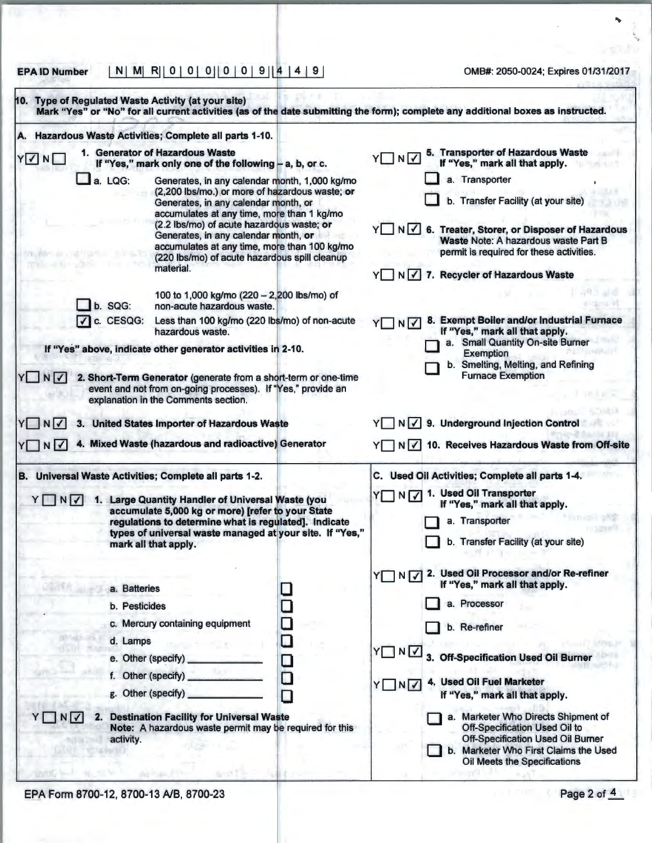EPA ID Number I NI Ml RI I o I o I o 11 o I o I 9 I I ~ I 4 I 9 I OMB#: 2050-0024; Expires 01/31/2017

|              |                                           |                                                                                                                                                                                                                                                                                                                                                                                          |                  | Mark "Yes" or "No" for all current activities (as of the date submitting the form); complete any additional boxes as instructed.                                                                                                        |
|--------------|-------------------------------------------|------------------------------------------------------------------------------------------------------------------------------------------------------------------------------------------------------------------------------------------------------------------------------------------------------------------------------------------------------------------------------------------|------------------|-----------------------------------------------------------------------------------------------------------------------------------------------------------------------------------------------------------------------------------------|
| А.           |                                           | Hazardous Waste Activities; Complete all parts 1-10.                                                                                                                                                                                                                                                                                                                                     |                  |                                                                                                                                                                                                                                         |
| YVND         |                                           | 1. Generator of Hazardous Waste<br>If "Yes," mark only one of the following - a, b, or c.                                                                                                                                                                                                                                                                                                |                  | 5. Transporter of Hazardous Waste<br>If "Yes," mark all that apply.<br>YNV                                                                                                                                                              |
|              | $\Box$ a. LQG:                            | Generates, in any calendar month, 1,000 kg/mo<br>(2,200 lbs/mo.) or more of hazardous waste; or<br>Generates, in any calendar month, or<br>accumulates at any time, more than 1 kg/mo<br>(2.2 lbs/mo) of acute hazardous waste; or<br>Generates, in any calendar month, or<br>accumulates at any time, more than 100 kg/mo<br>(220 lbs/mo) of acute hazardous spill cleanup<br>material. |                  | a. Transporter<br>b. Transfer Facility (at your site)<br>Y N V 6. Treater, Storer, or Disposer of Hazardous<br>Waste Note: A hazardous waste Part B<br>permit is required for these activities.<br>Y N √ 7. Recycler of Hazardous Waste |
|              | b. SQG:                                   | 100 to 1,000 kg/mo (220 - 2,200 lbs/mo) of<br>non-acute hazardous waste.                                                                                                                                                                                                                                                                                                                 |                  |                                                                                                                                                                                                                                         |
|              | $\sqrt{\phantom{a}}$ c. CESQG:            | Less than 100 kg/mo (220 lbs/mo) of non-acute<br>hazardous waste.<br>If "Yes" above, indicate other generator activities in 2-10.                                                                                                                                                                                                                                                        |                  | 8. Exempt Boiler and/or Industrial Furnace<br>$\neg N$<br>If "Yes," mark all that apply.<br>a. Small Quantity On-site Burner                                                                                                            |
| YNV          |                                           | 2. Short-Term Generator (generate from a short-term or one-time<br>event and not from on-going processes). If "Yes," provide an<br>explanation in the Comments section.                                                                                                                                                                                                                  |                  | <b>Exemption</b><br>b. Smelting, Melting, and Refining<br><b>Furnace Exemption</b>                                                                                                                                                      |
| YINV<br>YONY |                                           | <b>United States Importer of Hazardous Waste</b><br>4. Mixed Waste (hazardous and radioactive) Generator                                                                                                                                                                                                                                                                                 |                  | N √ 9. Underground Injection Control<br>10. Receives Hazardous Waste from Off-site<br>YNV                                                                                                                                               |
|              |                                           | B. Universal Waste Activities; Complete all parts 1-2.                                                                                                                                                                                                                                                                                                                                   |                  | C. Used Oil Activities; Complete all parts 1-4.                                                                                                                                                                                         |
| YUNV         |                                           | 1. Large Quantity Handler of Universal Waste (you<br>accumulate 5,000 kg or more) [refer to your State<br>regulations to determine what is regulated]. Indicate<br>types of universal waste managed at your site. If "Yes,"<br>mark all that apply.                                                                                                                                      |                  | 1. Used Oil Transporter<br>YONDY<br>If "Yes," mark all that apply.<br>a. Transporter<br>b. Transfer Facility (at your site)                                                                                                             |
|              | a. Batteries<br>b. Pesticides<br>d. Lamps | c. Mercury containing equipment                                                                                                                                                                                                                                                                                                                                                          | □                | 2. Used Oil Processor and/or Re-refiner<br>YΠ<br>N <sub>1</sub><br>If "Yes," mark all that apply.<br>a. Processor<br>b. Re-refiner                                                                                                      |
|              | e. Other (specify)<br>g. Other (specify)  | f. Other (specify)                                                                                                                                                                                                                                                                                                                                                                       | $\Box$<br>О<br>□ | YUNV<br><b>Off-Specification Used Oil Burner</b><br>3.<br>4. Used Oil Fuel Marketer<br>YINV<br>If "Yes," mark all that apply.                                                                                                           |
|              | activity.                                 | 2. Destination Facility for Universal Waste<br>Note: A hazardous waste permit may be required for this                                                                                                                                                                                                                                                                                   |                  | a. Marketer Who Directs Shipment of<br>Off-Specification Used Oil to<br><b>Off-Specification Used Oil Burner</b><br>b. Marketer Who First Claims the Used<br>Oil Meets the Specifications                                               |

\ ,,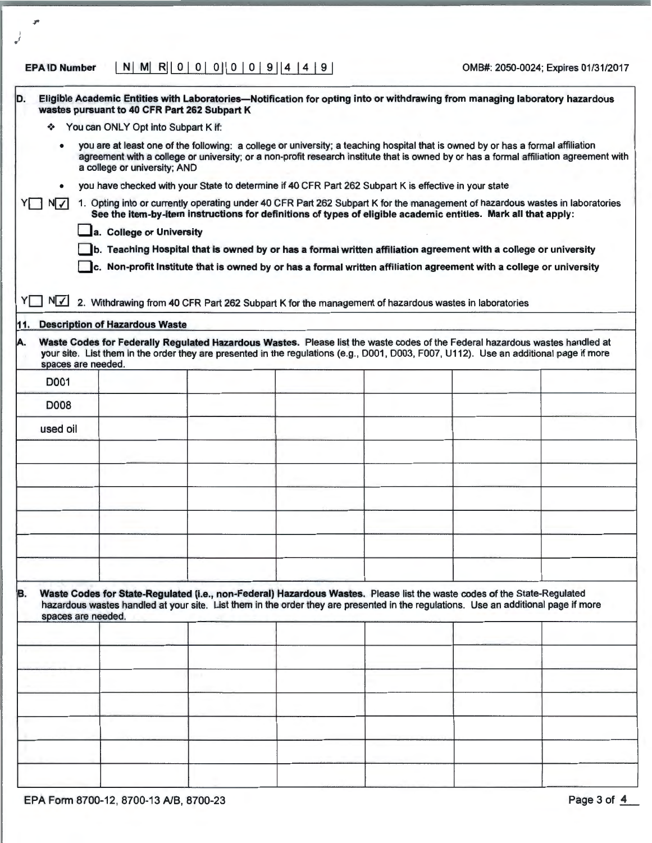## EPA ID Number I NI Ml RI I 0 I 0 I 0 11 0 I 0 I 9 114 I 4 I 9 I OMB#: 2050-0024; Expires 01/31/2017

I . '

| D.        | wastes pursuant to 40 CFR Part 262 Subpart K                                                          |  | Eligible Academic Entities with Laboratories—Notification for opting into or withdrawing from managing laboratory hazardous                                                                                                                                            |                                                                                                                                        |
|-----------|-------------------------------------------------------------------------------------------------------|--|------------------------------------------------------------------------------------------------------------------------------------------------------------------------------------------------------------------------------------------------------------------------|----------------------------------------------------------------------------------------------------------------------------------------|
|           | You can ONLY Opt into Subpart K if:                                                                   |  |                                                                                                                                                                                                                                                                        |                                                                                                                                        |
| ٠         | a college or university; AND                                                                          |  | you are at least one of the following: a college or university; a teaching hospital that is owned by or has a formal affiliation                                                                                                                                       | agreement with a college or university; or a non-profit research institute that is owned by or has a formal affiliation agreement with |
| $\bullet$ | you have checked with your State to determine if 40 CFR Part 262 Subpart K is effective in your state |  |                                                                                                                                                                                                                                                                        |                                                                                                                                        |
| N         |                                                                                                       |  |                                                                                                                                                                                                                                                                        | 1. Opting into or currently operating under 40 CFR Part 262 Subpart K for the management of hazardous wastes in laboratories           |
|           |                                                                                                       |  | See the item-by-item instructions for definitions of types of eligible academic entities. Mark all that apply:                                                                                                                                                         |                                                                                                                                        |
|           | a. College or University                                                                              |  |                                                                                                                                                                                                                                                                        |                                                                                                                                        |
|           |                                                                                                       |  | b. Teaching Hospital that is owned by or has a formal written affiliation agreement with a college or university                                                                                                                                                       |                                                                                                                                        |
|           |                                                                                                       |  | c. Non-profit Institute that is owned by or has a formal written affiliation agreement with a college or university                                                                                                                                                    |                                                                                                                                        |
|           |                                                                                                       |  |                                                                                                                                                                                                                                                                        |                                                                                                                                        |
| N√<br>YII |                                                                                                       |  | 2. Withdrawing from 40 CFR Part 262 Subpart K for the management of hazardous wastes in laboratories                                                                                                                                                                   |                                                                                                                                        |
| 11.       | <b>Description of Hazardous Waste</b>                                                                 |  |                                                                                                                                                                                                                                                                        |                                                                                                                                        |
|           |                                                                                                       |  |                                                                                                                                                                                                                                                                        |                                                                                                                                        |
| A.        | spaces are needed.                                                                                    |  | Waste Codes for Federally Regulated Hazardous Wastes. Please list the waste codes of the Federal hazardous wastes handled at<br>your site. List them in the order they are presented in the regulations (e.g., D001, D003, F007, U112). Use an additional page if more |                                                                                                                                        |
| D001      |                                                                                                       |  |                                                                                                                                                                                                                                                                        |                                                                                                                                        |
| D008      |                                                                                                       |  |                                                                                                                                                                                                                                                                        |                                                                                                                                        |
| used oil  |                                                                                                       |  |                                                                                                                                                                                                                                                                        |                                                                                                                                        |
|           |                                                                                                       |  |                                                                                                                                                                                                                                                                        |                                                                                                                                        |
|           |                                                                                                       |  |                                                                                                                                                                                                                                                                        |                                                                                                                                        |
|           |                                                                                                       |  |                                                                                                                                                                                                                                                                        |                                                                                                                                        |
|           |                                                                                                       |  |                                                                                                                                                                                                                                                                        |                                                                                                                                        |
|           |                                                                                                       |  |                                                                                                                                                                                                                                                                        |                                                                                                                                        |
|           |                                                                                                       |  |                                                                                                                                                                                                                                                                        |                                                                                                                                        |
| B.        | spaces are needed.                                                                                    |  | Waste Codes for State-Regulated (i.e., non-Federal) Hazardous Wastes. Please list the waste codes of the State-Regulated<br>hazardous wastes handled at your site. List them in the order they are presented in the regulations. Use an additional page if more        |                                                                                                                                        |
|           |                                                                                                       |  |                                                                                                                                                                                                                                                                        |                                                                                                                                        |
|           |                                                                                                       |  |                                                                                                                                                                                                                                                                        |                                                                                                                                        |
|           |                                                                                                       |  |                                                                                                                                                                                                                                                                        |                                                                                                                                        |
|           |                                                                                                       |  |                                                                                                                                                                                                                                                                        |                                                                                                                                        |
|           |                                                                                                       |  |                                                                                                                                                                                                                                                                        |                                                                                                                                        |
|           |                                                                                                       |  |                                                                                                                                                                                                                                                                        |                                                                                                                                        |
|           |                                                                                                       |  |                                                                                                                                                                                                                                                                        |                                                                                                                                        |